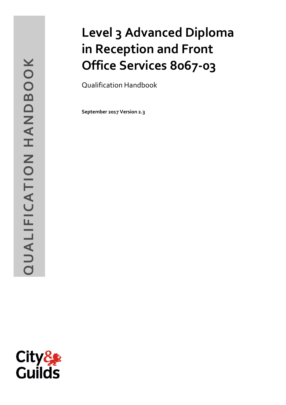# QUALIFICATION HANDBOOK **QUALIFICATION HANDBOOK**

# **Level 3 Advanced Diploma in Reception and Front Office Services 8067 -03**

Qualification Handbook

**September 2017 Version 2 . 3**

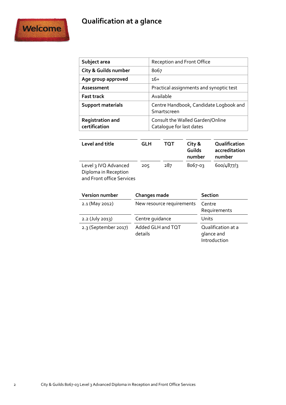# **Qualification at a glance**



| Subject area                                                              |     |                                                              |             | <b>Reception and Front Office</b>       |                                        |
|---------------------------------------------------------------------------|-----|--------------------------------------------------------------|-------------|-----------------------------------------|----------------------------------------|
| <b>City &amp; Guilds number</b>                                           |     | 8067                                                         |             |                                         |                                        |
| Age group approved                                                        |     | $16+$                                                        |             |                                         |                                        |
| Assessment                                                                |     |                                                              |             | Practical assignments and synoptic test |                                        |
| <b>Fast track</b>                                                         |     |                                                              | Available   |                                         |                                        |
| <b>Support materials</b>                                                  |     |                                                              | Smartscreen |                                         | Centre Handbook, Candidate Logbook and |
| <b>Registration and</b><br>certification                                  |     | Consult the Walled Garden/Online<br>Cataloque for last dates |             |                                         |                                        |
| Level and title                                                           | GLH |                                                              | TQT         | City &<br>Guilds                        | Qualification<br>accreditation         |
|                                                                           |     |                                                              |             | number                                  | number                                 |
| Level 3 IVQ Advanced<br>Diploma in Reception<br>and Front office Services | 205 |                                                              | 287         | 8067-03                                 | 600/4877/3                             |

**Version number Changes made Section** 2.1 (May 2012) New resource requirements Centre Requirements 2.2 (July 2013) Centre guidance Units 2.3 (September 2017) Added GLH and TQT details Qualification at a glance and Introduction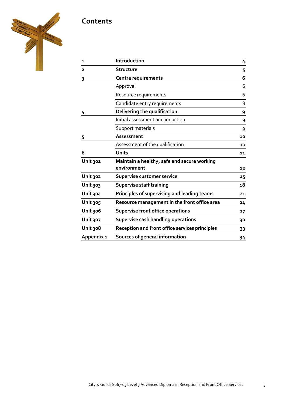# **Contents**



| 1                       | Introduction                                          | 4  |
|-------------------------|-------------------------------------------------------|----|
| $\overline{\mathbf{2}}$ | Structure                                             | 5  |
| 3                       | Centre requirements                                   | 6  |
|                         | Approval                                              | 6  |
|                         | Resource requirements                                 | 6  |
|                         | Candidate entry requirements                          | 8  |
| 4                       | Delivering the qualification                          | 9  |
|                         | Initial assessment and induction                      | 9  |
|                         | Support materials                                     | 9  |
| 5                       | Assessment                                            | 10 |
|                         | Assessment of the qualification                       | 10 |
| 6                       | <b>Units</b>                                          | 11 |
| Unit 301                | Maintain a healthy, safe and secure working           |    |
|                         | environment                                           | 12 |
| Unit 302                | Supervise customer service                            | 15 |
| <b>Unit 303</b>         | <b>Supervise staff training</b>                       | 18 |
| Unit 304                | Principles of supervising and leading teams           | 21 |
| <b>Unit 305</b>         | Resource management in the front office area          | 24 |
| Unit 306                | <b>Supervise front office operations</b>              | 27 |
| <b>Unit 307</b>         | Supervise cash handling operations                    | 30 |
| Unit 308                | <b>Reception and front office services principles</b> | 33 |
| Appendix 1              | Sources of general information                        | 34 |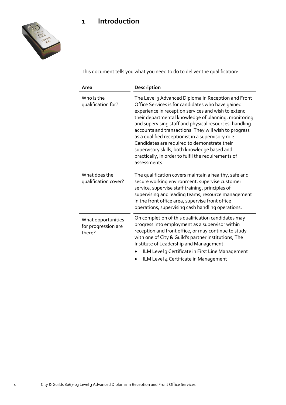# **1 Introduction**



This document tells you what you need to do to deliver the qualification:

| Area                                                | Description                                                                                                                                                                                                                                                                                                                                                                                                                                                                                                                                                             |
|-----------------------------------------------------|-------------------------------------------------------------------------------------------------------------------------------------------------------------------------------------------------------------------------------------------------------------------------------------------------------------------------------------------------------------------------------------------------------------------------------------------------------------------------------------------------------------------------------------------------------------------------|
| Who is the<br>qualification for?                    | The Level 3 Advanced Diploma in Reception and Front<br>Office Services is for candidates who have gained<br>experience in reception services and wish to extend<br>their departmental knowledge of planning, monitoring<br>and supervising staff and physical resources, handling<br>accounts and transactions. They will wish to progress<br>as a qualified receptionist in a supervisory role.<br>Candidates are required to demonstrate their<br>supervisory skills, both knowledge based and<br>practically, in order to fulfil the requirements of<br>assessments. |
| What does the<br>qualification cover?               | The qualification covers maintain a healthy, safe and<br>secure working environment, supervise customer<br>service, supervise staff training, principles of<br>supervising and leading teams, resource management<br>in the front office area, supervise front office<br>operations, supervising cash handling operations.                                                                                                                                                                                                                                              |
| What opportunities<br>for progression are<br>there? | On completion of this qualification candidates may<br>progress into employment as a supervisor within<br>reception and front office, or may continue to study<br>with one of City & Guild's partner institutions, The<br>Institute of Leadership and Management.<br>ILM Level 3 Certificate in First Line Management<br>ILM Level 4 Certificate in Management                                                                                                                                                                                                           |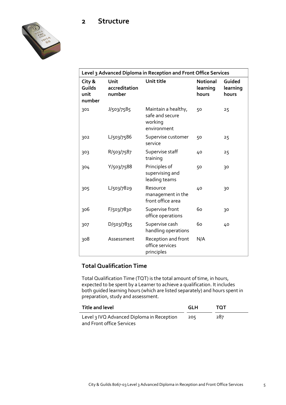## **2 Structure**



| Level 3 Advanced Diploma in Reception and Front Office Services |                                 |                                                                  |                                      |                             |
|-----------------------------------------------------------------|---------------------------------|------------------------------------------------------------------|--------------------------------------|-----------------------------|
| City &<br>Guilds<br>unit<br>number                              | Unit<br>accreditation<br>number | Unit title                                                       | <b>Notional</b><br>learning<br>hours | Guided<br>learning<br>hours |
| 301                                                             | J/503/7585                      | Maintain a healthy,<br>safe and secure<br>working<br>environment | 50                                   | 25                          |
| 302                                                             | L/503/7586                      | Supervise customer<br>service                                    | 50                                   | 25                          |
| 303                                                             | R/503/7587                      | Supervise staff<br>training                                      | 40                                   | 25                          |
| 304                                                             | Y/503/7588                      | Principles of<br>supervising and<br>leading teams                | 50                                   | 30                          |
| 305                                                             | L/503/7829                      | Resource<br>management in the<br>front office area               | 40                                   | 30                          |
| 306                                                             | F/503/7830                      | Supervise front<br>office operations                             | 60                                   | 30                          |
| 307                                                             | D/503/7835                      | Supervise cash<br>handling operations                            | 60                                   | 40                          |
| 308                                                             | Assessment                      | Reception and front<br>office services<br>principles             | N/A                                  |                             |

### **Total Qualification Time**

Total Qualification Time (TQT) is the total amount of time, in hours, expected to be spent by a Learner to achieve a qualification. It includes both guided learning hours (which are listed separately) and hours spent in preparation, study and assessment.

| Title and level                           | GLH | ΤΩΤ |
|-------------------------------------------|-----|-----|
| Level 3 IVQ Advanced Diploma in Reception | 205 | 287 |
| and Front office Services                 |     |     |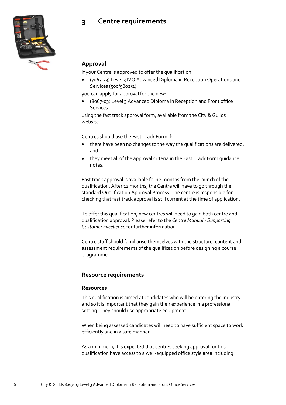# **3 Centre requirements**



### **Approval**

If your Centre is approved to offer the qualification:

 (7067-33) Level 3 IVQ Advanced Diploma in Reception Operations and Services (500/5802/2)

you can apply for approval for the new:

 (8067-03) Level 3 Advanced Diploma in Reception and Front office Services

using the fast track approval form, available from the City & Guilds website.

Centres should use the Fast Track Form if:

- there have been no changes to the way the qualifications are delivered, and
- they meet all of the approval criteria in the Fast Track Form guidance notes.

Fast track approval is available for 12 months from the launch of the qualification. After 12 months, the Centre will have to go through the standard Qualification Approval Process. The centre is responsible for checking that fast track approval is still current at the time of application.

To offer this qualification, new centres will need to gain both centre and qualification approval. Please refer to the *Centre Manual - Supporting Customer Excellence* for further information.

Centre staff should familiarise themselves with the structure, content and assessment requirements of the qualification before designing a course programme.

### **Resource requirements**

### **Resources**

This qualification is aimed at candidates who will be entering the industry and so it is important that they gain their experience in a professional setting. They should use appropriate equipment.

When being assessed candidates will need to have sufficient space to work efficiently and in a safe manner.

As a minimum, it is expected that centres seeking approval for this qualification have access to a well-equipped office style area including: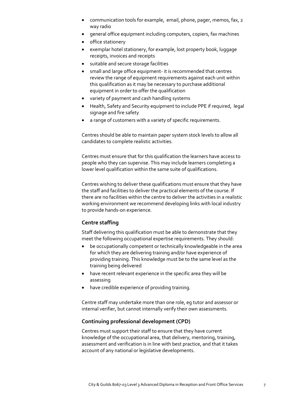- communication tools for example, email, phone, pager, memos, fax, 2 way radio
- general office equipment including computers, copiers, fax machines
- office stationery
- exemplar hotel stationery, for example, lost property book, luggage receipts, invoices and receipts
- suitable and secure storage facilities
- small and large office equipment- it is recommended that centres review the range of equipment requirements against each unit within this qualification as it may be necessary to purchase additional equipment in order to offer the qualification
- variety of payment and cash handling systems
- Health, Safety and Security equipment to include PPE if required, legal signage and fire safety
- a range of customers with a variety of specific requirements.

Centres should be able to maintain paper system stock levels to allow all candidates to complete realistic activities.

Centres must ensure that for this qualification the learners have access to people who they can supervise. This may include learners completing a lower level qualification within the same suite of qualifications.

Centres wishing to deliver these qualifications must ensure that they have the staff and facilities to deliver the practical elements of the course. If there are no facilities within the centre to deliver the activities in a realistic working environment we recommend developing links with local industry to provide hands-on experience.

### **Centre staffing**

Staff delivering this qualification must be able to demonstrate that they meet the following occupational expertise requirements. They should:

- be occupationally competent or technically knowledgeable in the area for which they are delivering training and/or have experience of providing training. This knowledge must be to the same level as the training being delivered
- have recent relevant experience in the specific area they will be assessing
- have credible experience of providing training.

Centre staff may undertake more than one role, eg tutor and assessor or internal verifier, but cannot internally verify their own assessments.

### **Continuing professional development (CPD)**

Centres must support their staff to ensure that they have current knowledge of the occupational area, that delivery, mentoring, training, assessment and verification is in line with best practice, and that it takes account of any national or legislative developments.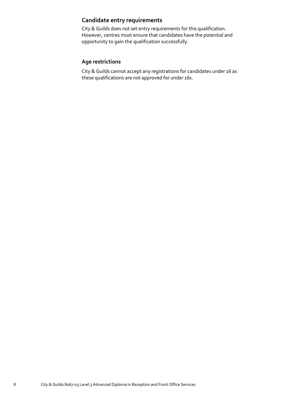# **Candidate entry requirements**

City & Guilds does not set entry requirements for this qualification. However, centres must ensure that candidates have the potential and opportunity to gain the qualification successfully.

### **Age restrictions**

City & Guilds cannot accept any registrations for candidates under 16 as these qualifications are not approved for under 16s.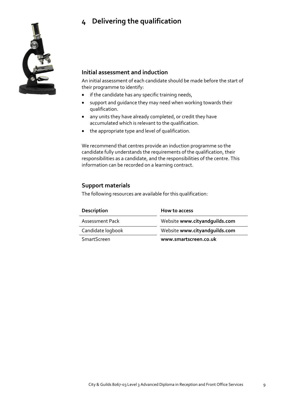# **4 Delivering the qualification**



### **Initial assessment and induction**

An initial assessment of each candidate should be made before the start of their programme to identify:

- if the candidate has any specific training needs,
- support and guidance they may need when working towards their qualification.
- any units they have already completed, or credit they have accumulated which is relevant to the qualification.
- the appropriate type and level of qualification.

We recommend that centres provide an induction programme so the candidate fully understands the requirements of the qualification, their responsibilities as a candidate, and the responsibilities of the centre. This information can be recorded on a learning contract.

### **Support materials**

The following resources are available for this qualification:

| Description        | How to access                 |
|--------------------|-------------------------------|
| Assessment Pack    | Website www.cityandquilds.com |
| Candidate logbook  | Website www.cityandquilds.com |
| <b>SmartScreen</b> | www.smartscreen.co.uk         |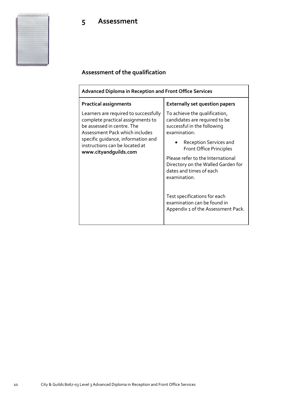# **5 Assessment**

# **Assessment of the qualification**

| <b>Advanced Diploma in Reception and Front Office Services</b>                                                                                                                                                                              |                                                                                                                                                                                                                                                                                                 |  |
|---------------------------------------------------------------------------------------------------------------------------------------------------------------------------------------------------------------------------------------------|-------------------------------------------------------------------------------------------------------------------------------------------------------------------------------------------------------------------------------------------------------------------------------------------------|--|
| <b>Practical assignments</b>                                                                                                                                                                                                                | <b>Externally set question papers</b>                                                                                                                                                                                                                                                           |  |
| Learners are required to successfully<br>complete practical assignments to<br>be assessed in centre. The<br>Assessment Pack which includes<br>specific quidance, information and<br>instructions can be located at<br>www.cityandguilds.com | To achieve the qualification,<br>candidates are required to be<br>successful in the following<br>examination:<br>Reception Services and<br><b>Front Office Principles</b><br>Please refer to the International<br>Directory on the Walled Garden for<br>dates and times of each<br>examination. |  |
|                                                                                                                                                                                                                                             | Test specifications for each<br>examination can be found in<br>Appendix 1 of the Assessment Pack.                                                                                                                                                                                               |  |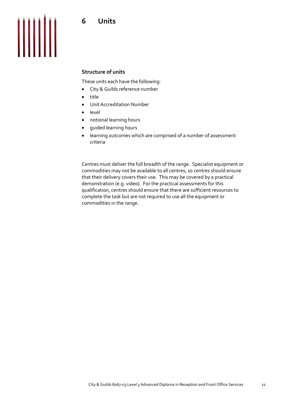

### **Structure of units**

These units each have the following:

- City & Guilds reference number
- title
- Unit Accreditation Number
- level
- notional learning hours
- guided learning hours
- learning outcomes which are comprised of a number of assessment criteria

Centres must deliver the full breadth of the range. Specialist equipment or commodities may not be available to all centres, so centres should ensure that their delivery covers their use. This may be covered by a practical demonstration (e.g. video). For the practical assessments for this qualification, centres should ensure that there are sufficient resources to complete the task but are not required to use all the equipment or commodities in the range.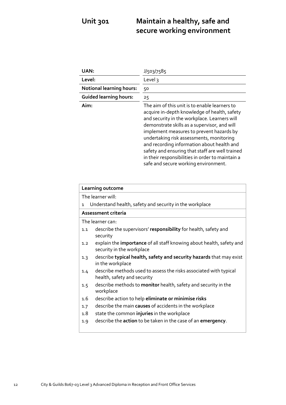# **Unit 301 Maintain a healthy, safe and secure working environment**

| <b>UAN:</b>                     | J/503/7585                                                                                                                                                                                                                                                                                                                                                                                                                                                                         |
|---------------------------------|------------------------------------------------------------------------------------------------------------------------------------------------------------------------------------------------------------------------------------------------------------------------------------------------------------------------------------------------------------------------------------------------------------------------------------------------------------------------------------|
| Level:                          | Level 3                                                                                                                                                                                                                                                                                                                                                                                                                                                                            |
| <b>Notional learning hours:</b> | 50                                                                                                                                                                                                                                                                                                                                                                                                                                                                                 |
| <b>Guided learning hours:</b>   | 25                                                                                                                                                                                                                                                                                                                                                                                                                                                                                 |
| Aim:                            | The aim of this unit is to enable learners to<br>acquire in-depth knowledge of health, safety<br>and security in the workplace. Learners will<br>demonstrate skills as a supervisor, and will<br>implement measures to prevent hazards by<br>undertaking risk assessments, monitoring<br>and recording information about health and<br>safety and ensuring that staff are well trained<br>in their responsibilities in order to maintain a<br>safe and secure working environment. |

| Learning outcome                                                                                         |  |
|----------------------------------------------------------------------------------------------------------|--|
| The learner will:                                                                                        |  |
| Understand health, safety and security in the workplace<br>$\mathbf{1}$                                  |  |
| Assessment criteria                                                                                      |  |
| The learner can:                                                                                         |  |
| describe the supervisors' responsibility for health, safety and<br>1.1<br>security                       |  |
| explain the importance of all staff knowing about health, safety and<br>1.2<br>security in the workplace |  |
| describe typical health, safety and security hazards that may exist<br>1.3<br>in the workplace           |  |
| describe methods used to assess the risks associated with typical<br>1.4<br>health, safety and security  |  |
| describe methods to <b>monitor</b> health, safety and security in the<br>1.5<br>workplace                |  |
| describe action to help eliminate or minimise risks<br>1.6                                               |  |
| describe the main causes of accidents in the workplace<br>1.7                                            |  |
| state the common injuries in the workplace<br>1.8                                                        |  |
| describe the <b>action</b> to be taken in the case of an <b>emergency</b> .<br>1.9                       |  |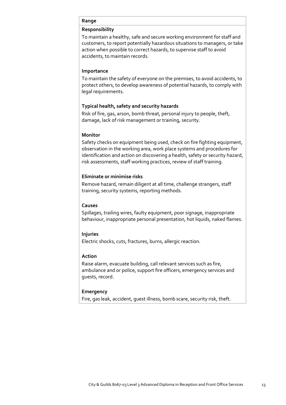### **Range**

### **Responsibility**

To maintain a healthy, safe and secure working environment for staff and customers, to report potentially hazardous situations to managers, or take action when possible to correct hazards, to supervise staff to avoid accidents, to maintain records.

### **Importance**

To maintain the safety of everyone on the premises, to avoid accidents, to protect others, to develop awareness of potential hazards, to comply with legal requirements.

### **Typical health, safety and security hazards**

Risk of fire, gas, arson, bomb threat, personal injury to people, theft, damage, lack of risk management or training, security.

### **Monitor**

Safety checks on equipment being used, check on fire fighting equipment, observation in the working area, work place systems and procedures for identification and action on discovering a health, safety or security hazard, risk assessments, staff working practices, review of staff training.

### **Eliminate or minimise risks**

Remove hazard, remain diligent at all time, challenge strangers, staff training, security systems, reporting methods.

### **Causes**

Spillages, trailing wires, faulty equipment, poor signage, inappropriate behaviour, inappropriate personal presentation, hot liquids, naked flames.

### **Injuries**

Electric shocks, cuts, fractures, burns, allergic reaction.

### **Action**

Raise alarm, evacuate building, call relevant services such as fire, ambulance and or police, support fire officers, emergency services and guests, record.

### **Emergency**

Fire, gas leak, accident, guest illness, bomb scare, security risk, theft.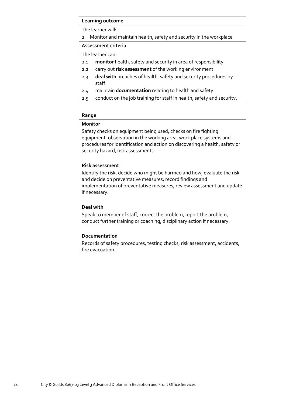### **Learning outcome**

The learner will:

2 Monitor and maintain health, safety and security in the workplace

### **Assessment criteria**

The learner can:

- 2.1 **monitor** health, safety and security in area of responsibility
- 2.2 carry out **risk assessment** of the working environment
- 2.3 **deal with** breaches of health, safety and security procedures by staff
- 2.4 maintain **documentation** relating to health and safety
- 2.5 conduct on the job training for staff in health, safety and security.

### **Range**

### **Monitor**

Safety checks on equipment being used, checks on fire fighting equipment, observation in the working area, work place systems and procedures for identification and action on discovering a health, safety or security hazard, risk assessments.

### **Risk assessment**

Identify the risk, decide who might be harmed and how, evaluate the risk and decide on preventative measures, record findings and implementation of preventative measures, review assessment and update if necessary.

### **Deal with**

Speak to member of staff, correct the problem, report the problem, conduct further training or coaching, disciplinary action if necessary.

### **Documentation**

Records of safety procedures, testing checks, risk assessment, accidents, fire evacuation.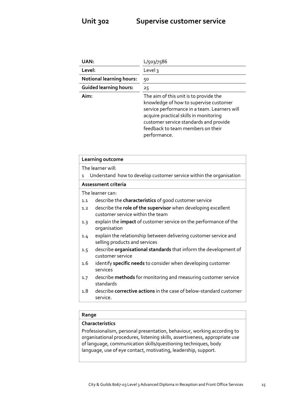| UAN:                            | L/503/7586                                                                                                                                                                                                                                                                |
|---------------------------------|---------------------------------------------------------------------------------------------------------------------------------------------------------------------------------------------------------------------------------------------------------------------------|
| Level:                          | Level 3                                                                                                                                                                                                                                                                   |
| <b>Notional learning hours:</b> | 50                                                                                                                                                                                                                                                                        |
| <b>Guided learning hours:</b>   | 25                                                                                                                                                                                                                                                                        |
| Aim:                            | The aim of this unit is to provide the<br>knowledge of how to supervise customer<br>service performance in a team. Learners will<br>acquire practical skills in monitoring<br>customer service standards and provide<br>feedback to team members on their<br>performance. |

|              | Learning outcome                                                                                  |
|--------------|---------------------------------------------------------------------------------------------------|
|              | The learner will:                                                                                 |
| $\mathbf{1}$ | Understand how to develop customer service within the organisation                                |
|              | Assessment criteria                                                                               |
|              | The learner can:                                                                                  |
| 1.1          | describe the <b>characteristics</b> of good customer service                                      |
| 1.2          | describe the role of the supervisor when developing excellent<br>customer service within the team |
| 1.3          | explain the <b>impact</b> of customer service on the performance of the<br>organisation           |
| 1.4          | explain the relationship between delivering customer service and<br>selling products and services |
| 1.5          | describe organisational standards that inform the development of<br>customer service              |
| 1.6          | identify specific needs to consider when developing customer<br>services                          |
| 1.7          | describe methods for monitoring and measuring customer service<br>standards                       |
| 1.8          | describe <b>corrective actions</b> in the case of below-standard customer<br>service.             |
|              |                                                                                                   |

### **Range**

### **Characteristics**

Professionalism, personal presentation, behaviour, working according to organisational procedures, listening skills, assertiveness, appropriate use of language, communication skills/questioning techniques, body language, use of eye contact, motivating, leadership, support.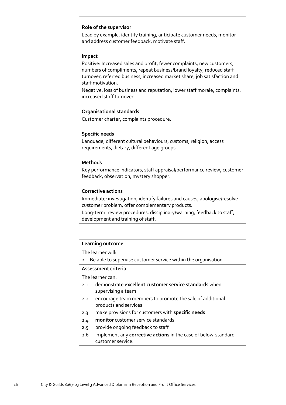### **Role of the supervisor**

Lead by example, identify training, anticipate customer needs, monitor and address customer feedback, motivate staff.

### **Impact**

Positive: Increased sales and profit, fewer complaints, new customers, numbers of compliments, repeat business/brand loyalty, reduced staff turnover, referred business, increased market share, job satisfaction and staff motivation.

Negative: loss of business and reputation, lower staff morale, complaints, increased staff turnover.

### **Organisational standards**

Customer charter, complaints procedure.

### **Specific needs**

Language, different cultural behaviours, customs, religion, access requirements, dietary, different age groups.

### **Methods**

Key performance indicators, staff appraisal/performance review, customer feedback, observation, mystery shopper.

### **Corrective actions**

Immediate: investigation, identify failures and causes, apologise/resolve customer problem, offer complementary products.

Long-term: review procedures, disciplinary/warning, feedback to staff, development and training of staff.

| Learning outcome    |                                                                |  |
|---------------------|----------------------------------------------------------------|--|
|                     | The learner will:                                              |  |
| $\overline{2}$      | Be able to supervise customer service within the organisation  |  |
| Assessment criteria |                                                                |  |
|                     | The learner can:                                               |  |
| 2.1                 | demonstrate excellent customer service standards when          |  |
|                     | supervising a team                                             |  |
| 2.2                 | encourage team members to promote the sale of additional       |  |
|                     | products and services                                          |  |
| 2.3                 | make provisions for customers with specific needs              |  |
| 2.4                 | <b>monitor</b> customer service standards                      |  |
| 2.5                 | provide ongoing feedback to staff                              |  |
| 2.6                 | implement any corrective actions in the case of below-standard |  |
|                     | customer service.                                              |  |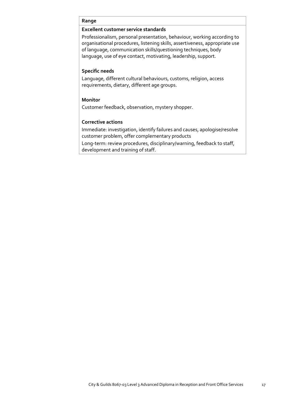### **Range**

### **Excellent customer service standards**

Professionalism, personal presentation, behaviour, working according to organisational procedures, listening skills, assertiveness, appropriate use of language, communication skills/questioning techniques, body language, use of eye contact, motivating, leadership, support.

### **Specific needs**

Language, different cultural behaviours, customs, religion, access requirements, dietary, different age groups.

### **Monitor**

Customer feedback, observation, mystery shopper.

### **Corrective actions**

Immediate: investigation, identify failures and causes, apologise/resolve customer problem, offer complementary products

Long-term: review procedures, disciplinary/warning, feedback to staff, development and training of staff.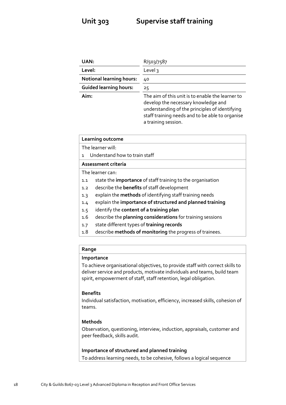| UAN:                            | R/503/7587                                                                                                                                                                                                          |
|---------------------------------|---------------------------------------------------------------------------------------------------------------------------------------------------------------------------------------------------------------------|
| Level:                          | Level 3                                                                                                                                                                                                             |
| <b>Notional learning hours:</b> | 40                                                                                                                                                                                                                  |
| <b>Guided learning hours:</b>   | 25                                                                                                                                                                                                                  |
| Aim:                            | The aim of this unit is to enable the learner to<br>develop the necessary knowledge and<br>understanding of the principles of identifying<br>staff training needs and to be able to organise<br>a training session. |

| Learning outcome                                                  |  |
|-------------------------------------------------------------------|--|
| The learner will:                                                 |  |
| Understand how to train staff<br>1                                |  |
| Assessment criteria                                               |  |
| The learner can:                                                  |  |
| state the importance of staff training to the organisation<br>1.1 |  |
| describe the <b>benefits</b> of staff development<br>1.2          |  |
| explain the methods of identifying staff training needs<br>1.3    |  |
| explain the importance of structured and planned training<br>1.4  |  |
| identify the content of a training plan<br>1.5                    |  |
| describe the planning considerations for training sessions<br>1.6 |  |
| state different types of training records<br>1.7                  |  |
| describe methods of monitoring the progress of trainees.<br>1.8   |  |
|                                                                   |  |

### **Range**

### **Importance**

To achieve organisational objectives, to provide staff with correct skills to deliver service and products, motivate individuals and teams, build team spirit, empowerment of staff, staff retention, legal obligation.

### **Benefits**

Individual satisfaction, motivation, efficiency, increased skills, cohesion of teams.

### **Methods**

Observation, questioning, interview, induction, appraisals, customer and peer feedback, skills audit.

**Importance of structured and planned training**  To address learning needs, to be cohesive, follows a logical sequence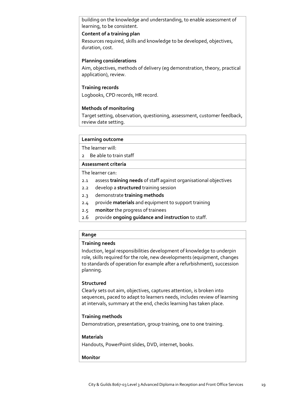building on the knowledge and understanding, to enable assessment of learning, to be consistent.

### **Content of a training plan**

Resources required, skills and knowledge to be developed, objectives, duration, cost.

### **Planning considerations**

Aim, objectives, methods of delivery (eg demonstration, theory, practical application), review.

### **Training records**

Logbooks, CPD records, HR record.

### **Methods of monitoring**

Target setting, observation, questioning, assessment, customer feedback, review date setting.

### **Learning outcome**

The learner will:

2 Be able to train staff

### **Assessment criteria**

The learner can:

- 2.1 assess **training needs** of staff against organisational objectives
- 2.2 develop a **structured** training session
- 2.3 demonstrate **training methods**
- 2.4 provide **materials** and equipment to support training
- 2.5 **monitor** the progress of trainees
- 2.6 provide **ongoing guidance and instruction** to staff.

### **Range**

### **Training needs**

Induction, legal responsibilities development of knowledge to underpin role, skills required for the role, new developments (equipment, changes to standards of operation for example after a refurbishment), succession planning.

### **Structured**

Clearly sets out aim, objectives, captures attention, is broken into sequences, paced to adapt to learners needs, includes review of learning at intervals, summary at the end, checks learning has taken place.

### **Training methods**

Demonstration, presentation, group training, one to one training.

### **Materials**

Handouts, PowerPoint slides, DVD, internet, books.

### **Monitor**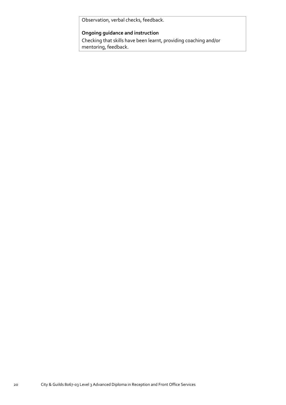Observation, verbal checks, feedback.

### **Ongoing guidance and instruction**

Checking that skills have been learnt, providing coaching and/or mentoring, feedback.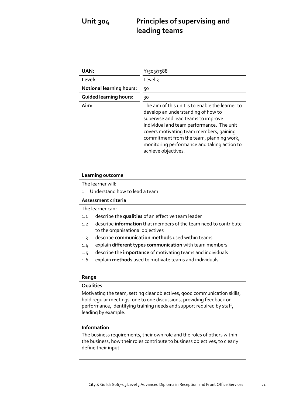# **Unit 304 Principles of supervising and leading teams**

| UAN:                            | Y/503/7588                                                                                                                                                                                                                                                                                                                              |
|---------------------------------|-----------------------------------------------------------------------------------------------------------------------------------------------------------------------------------------------------------------------------------------------------------------------------------------------------------------------------------------|
| Level:                          | Level 3                                                                                                                                                                                                                                                                                                                                 |
| <b>Notional learning hours:</b> | 50                                                                                                                                                                                                                                                                                                                                      |
| <b>Guided learning hours:</b>   | 30                                                                                                                                                                                                                                                                                                                                      |
| Aim:                            | The aim of this unit is to enable the learner to<br>develop an understanding of how to<br>supervise and lead teams to improve<br>individual and team performance. The unit<br>covers motivating team members, gaining<br>commitment from the team, planning work,<br>monitoring performance and taking action to<br>achieve objectives. |

| Learning outcome                                                                                                   |  |
|--------------------------------------------------------------------------------------------------------------------|--|
| The learner will:                                                                                                  |  |
| Understand how to lead a team<br>$\mathbf{1}$                                                                      |  |
| Assessment criteria                                                                                                |  |
| The learner can:                                                                                                   |  |
| describe the qualities of an effective team leader<br>1.1                                                          |  |
| describe <b>information</b> that members of the team need to contribute<br>1.2<br>to the organisational objectives |  |
| describe communication methods used within teams<br>1.3                                                            |  |
| explain different types communication with team members<br>1.4                                                     |  |
| describe the <b>importance</b> of motivating teams and individuals<br>1.5                                          |  |
| 1.6<br>explain methods used to motivate teams and individuals.                                                     |  |
|                                                                                                                    |  |

### **Range**

### **Qualities**

Motivating the team, setting clear objectives, good communication skills, hold regular meetings, one to one discussions, providing feedback on performance, identifying training needs and support required by staff, leading by example.

### **Information**

The business requirements, their own role and the roles of others within the business, how their roles contribute to business objectives, to clearly define their input.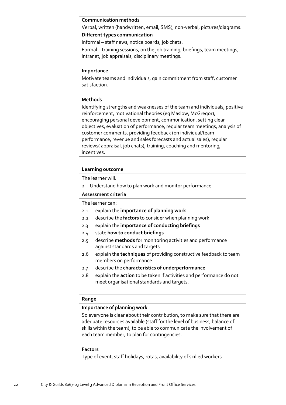### **Communication methods**

Verbal, written (handwritten, email, SMS), non-verbal, pictures/diagrams. **Different types communication** 

Informal – staff news, notice boards, job chats.

Formal – training sessions, on the job training, briefings, team meetings, intranet, job appraisals, disciplinary meetings.

### **Importance**

Motivate teams and individuals, gain commitment from staff, customer satisfaction.

### **Methods**

Identifying strengths and weaknesses of the team and individuals, positive reinforcement, motivational theories (eg Maslow, McGregor), encouraging personal development, communication. setting clear objectives, evaluation of performance, regular team meetings, analysis of customer comments, providing feedback (on individual/team performance, revenue and sales forecasts and actual sales), regular reviews( appraisal, job chats), training, coaching and mentoring, incentives.

### **Learning outcome**

The learner will:

2 Understand how to plan work and monitor performance

### **Assessment criteria**

The learner can:

- 2.1 explain the **importance of planning work**
- 2.2 describe the **factors** to consider when planning work
- 2.3 explain the **importance of conducting briefings**
- 2.4 state **how to conduct briefings**
- 2.5 describe **methods** for monitoring activities and performance against standards and targets
- 2.6 explain the **techniques** of providing constructive feedback to team members on performance
- 2.7 describe the **characteristics of underperformance**
- 2.8 explain the **action** to be taken if activities and performance do not meet organisational standards and targets.

### **Range**

### **Importance of planning work**

So everyone is clear about their contribution, to make sure that there are adequate resources available (staff for the level of business, balance of skills within the team), to be able to communicate the involvement of each team member, to plan for contingencies.

### **Factors**

Type of event, staff holidays, rotas, availability of skilled workers.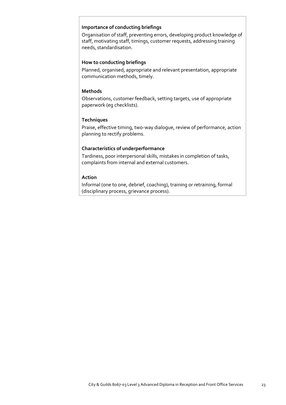### **Importance of conducting briefings**

Organisation of staff, preventing errors, developing product knowledge of staff, motivating staff, timings, customer requests, addressing training needs, standardisation.

### **How to conducting briefings**

Planned, organised, appropriate and relevant presentation, appropriate communication methods, timely.

### **Methods**

Observations, customer feedback, setting targets, use of appropriate paperwork (eg checklists).

### **Techniques**

Praise, effective timing, two-way dialogue, review of performance, action planning to rectify problems.

### **Characteristics of underperformance**

Tardiness, poor interpersonal skills, mistakes in completion of tasks, complaints from internal and external customers.

### **Action**

Informal (one to one, debrief, coaching), training or retraining, formal (disciplinary process, grievance process).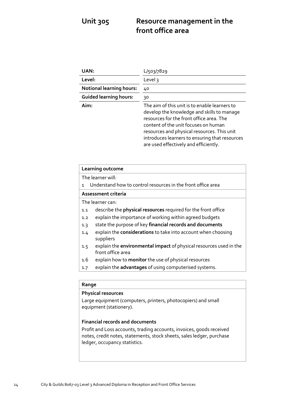# **Unit 305 Resource management in the front office area**

| UAN:                            | L/503/7829                                                                                                                                                                                                                                                                                                                |
|---------------------------------|---------------------------------------------------------------------------------------------------------------------------------------------------------------------------------------------------------------------------------------------------------------------------------------------------------------------------|
| Level:                          | Level 3                                                                                                                                                                                                                                                                                                                   |
| <b>Notional learning hours:</b> | 40                                                                                                                                                                                                                                                                                                                        |
| <b>Guided learning hours:</b>   | 30                                                                                                                                                                                                                                                                                                                        |
| Aim:                            | The aim of this unit is to enable learners to<br>develop the knowledge and skills to manage<br>resources for the front office area. The<br>content of the unit focuses on human<br>resources and physical resources. This unit<br>introduces learners to ensuring that resources<br>are used effectively and efficiently. |

| Learning outcome                                                                               |
|------------------------------------------------------------------------------------------------|
| The learner will:                                                                              |
| Understand how to control resources in the front office area<br>$\mathbf{1}$                   |
| Assessment criteria                                                                            |
| The learner can:                                                                               |
| describe the physical resources required for the front office<br>1.1                           |
| explain the importance of working within agreed budgets<br>1.2                                 |
| state the purpose of key financial records and documents<br>1.3                                |
| explain the <b>considerations</b> to take into account when choosing<br>1.4<br>suppliers       |
| explain the environmental impact of physical resources used in the<br>1.5<br>front office area |
| explain how to monitor the use of physical resources<br>1.6                                    |
| explain the advantages of using computerised systems.<br>1.7                                   |
|                                                                                                |

### **Range**

### **Physical resources**

Large equipment (computers, printers, photocopiers) and small equipment (stationery).

### **Financial records and documents**

Profit and Loss accounts, trading accounts, invoices, goods received notes, credit notes, statements, stock sheets, sales ledger, purchase ledger, occupancy statistics.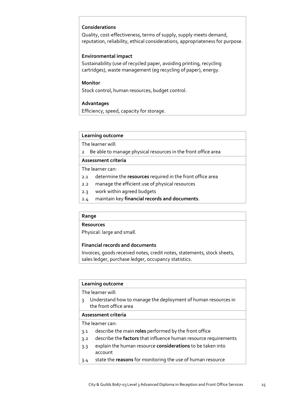### **Considerations**

Quality, cost-effectiveness, terms of supply, supply meets demand, reputation, reliability, ethical considerations, appropriateness for purpose.

### **Environmental impact**

Sustainability (use of recycled paper, avoiding printing, recycling cartridges), waste management (eg recycling of paper), energy.

### **Monitor**

Stock control, human resources, budget control.

### **Advantages**

Efficiency, speed, capacity for storage.

### **Learning outcome**

The learner will:

2 Be able to manage physical resources in the front office area

### **Assessment criteria**

The learner can:

- 2.1 determine the **resources** required in the front office area
- 2.2 manage the efficient use of physical resources
- 2.3 work within agreed budgets
- 2.4 maintain key **financial records and documents**.

### **Range**

### **Resources**

Physical: large and small.

### **Financial records and documents**

Invoices, goods received notes, credit notes, statements, stock sheets, sales ledger, purchase ledger, occupancy statistics.

### **Learning outcome**

The learner will:

3 Understand how to manage the deployment of human resources in the front office area

### **Assessment criteria**

### The learner can:

- 3.1 describe the main **roles** performed by the front office
- 3.2 describe the **factors** that influence human resource requirements
- 3.3 explain the human resource **considerations** to be taken into account
- 3.4 state the **reasons** for monitoring the use of human resource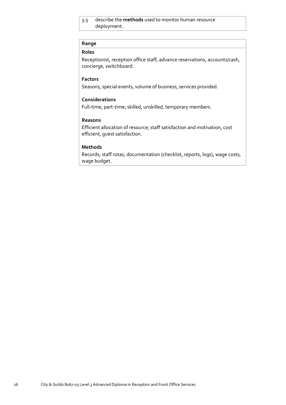### 3.5 describe the **methods** used to monitor human resource deployment.

### **Range**

### **Roles**

Receptionist, reception office staff, advance reservations, accounts/cash, concierge, switchboard.

### **Factors**

Seasons, special events, volume of business, services provided.

### **Considerations**

Full-time, part-time; skilled, unskilled, temporary members.

### **Reasons**

Efficient allocation of resource; staff satisfaction and motivation, cost efficient, guest satisfaction.

### **Methods**

Records; staff rotas; documentation (checklist, reports, logs), wage costs, wage budget.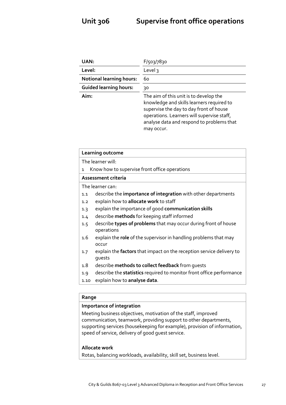| UAN:                            | F/503/7830                                                                                                                                                                                                                              |
|---------------------------------|-----------------------------------------------------------------------------------------------------------------------------------------------------------------------------------------------------------------------------------------|
| Level:                          | Level 3                                                                                                                                                                                                                                 |
| <b>Notional learning hours:</b> | 60                                                                                                                                                                                                                                      |
| <b>Guided learning hours:</b>   | 30                                                                                                                                                                                                                                      |
| Aim:                            | The aim of this unit is to develop the<br>knowledge and skills learners required to<br>supervise the day to day front of house<br>operations. Learners will supervise staff,<br>analyse data and respond to problems that<br>may occur. |

| Learning outcome                                                                             |  |
|----------------------------------------------------------------------------------------------|--|
| The learner will:                                                                            |  |
| Know how to supervise front office operations<br>$\mathbf{1}$                                |  |
| Assessment criteria                                                                          |  |
| The learner can:                                                                             |  |
| describe the importance of integration with other departments<br>1.1                         |  |
| explain how to allocate work to staff<br>1.2                                                 |  |
| explain the importance of good communication skills<br>1.3                                   |  |
| describe <b>methods</b> for keeping staff informed<br>1.4                                    |  |
| describe types of problems that may occur during front of house<br>1.5<br>operations         |  |
| explain the role of the supervisor in handling problems that may<br>1.6<br>occur             |  |
| explain the <b>factors</b> that impact on the reception service delivery to<br>1.7<br>guests |  |
| describe methods to collect feedback from quests<br>1.8                                      |  |
| describe the <b>statistics</b> required to monitor front office performance<br>1.9           |  |
| explain how to analyse data.<br>1.10                                                         |  |
|                                                                                              |  |

### **Range**

### **Importance of integration**

Meeting business objectives, motivation of the staff, improved communication, teamwork, providing support to other departments, supporting services (housekeeping for example), provision of information, speed of service, delivery of good guest service.

### **Allocate work**

Rotas, balancing workloads, availability, skill set, business level.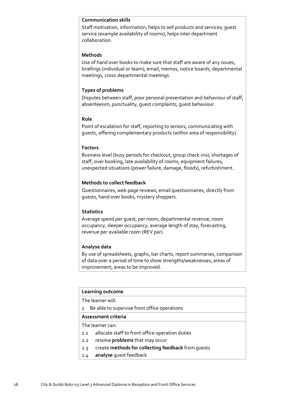### **Communication skills**

Staff motivation, information, helps to sell products and services; guest service (example availability of rooms), helps inter department collaboration.

### **Methods**

Use of hand over books to make sure that staff are aware of any issues, briefings (individual or team), email, memos, notice boards, departmental meetings, cross-departmental meetings.

### **Types of problems**

Disputes between staff, poor personal presentation and behaviour of staff, absenteeism, punctuality, guest complaints, guest behaviour.

### **Role**

Point of escalation for staff, reporting to seniors, communicating with guests, offering complementary products (within area of responsibility).

### **Factors**

Business level (busy periods for checkout, group check-ins), shortages of staff, over booking, late availability of rooms, equipment failures, unexpected situations (power failure, damage, floods), refurbishment.

### **Methods to collect feedback**

Questionnaires, web page reviews, email questionnaires, directly from guests, hand over books, mystery shoppers.

### **Statistics**

Average spend per guest, per room, departmental revenue, room occupancy, sleeper occupancy, average length of stay, forecasting, revenue per available room (REV par).

### **Analyse data**

By use of spreadsheets, graphs, bar charts, report summaries, comparison of data over a period of time to show strengths/weaknesses, areas of improvement, areas to be improved.

### **Learning outcome**

The learner will:

2 Be able to supervise front office operations

### **Assessment criteria**

The learner can:

- 2.1 allocate staff to front office operation duties
- 2.2 resolve **problems** that may occur
- 2.3 create **methods for collecting feedback** from guests
- 2.4 **analyse** guest feedback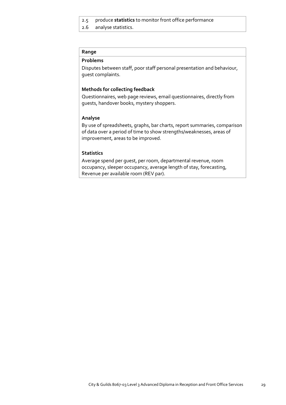### 2.5 produce **statistics** to monitor front office performance

2.6 analyse statistics.

### **Range**

### **Problems**

Disputes between staff, poor staff personal presentation and behaviour, guest complaints.

### **Methods for collecting feedback**

Questionnaires, web page reviews, email questionnaires, directly from guests, handover books, mystery shoppers.

### **Analyse**

By use of spreadsheets, graphs, bar charts, report summaries, comparison of data over a period of time to show strengths/weaknesses, areas of improvement, areas to be improved.

### **Statistics**

Average spend per guest, per room, departmental revenue, room occupancy, sleeper occupancy, average length of stay, forecasting, Revenue per available room (REV par).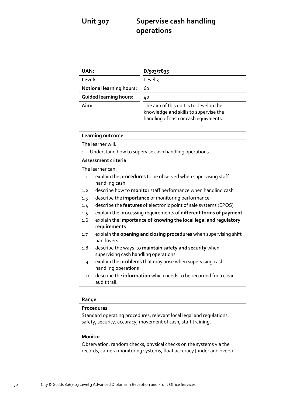# **Unit 307 Supervise cash handling operations**

| UAN:                            | D/503/7835                                                                                                               |
|---------------------------------|--------------------------------------------------------------------------------------------------------------------------|
| Level:                          | Level $3$                                                                                                                |
| <b>Notional learning hours:</b> | 60                                                                                                                       |
| <b>Guided learning hours:</b>   | 40                                                                                                                       |
| Aim:                            | The aim of this unit is to develop the<br>knowledge and skills to supervise the<br>handling of cash or cash equivalents. |

|              | Learning outcome                                                                               |
|--------------|------------------------------------------------------------------------------------------------|
|              | The learner will:                                                                              |
| $\mathbf{1}$ | Understand how to supervise cash handling operations                                           |
|              | Assessment criteria                                                                            |
|              | The learner can:                                                                               |
| 1.1          | explain the <b>procedures</b> to be observed when supervising staff<br>handling cash           |
| 1.2          | describe how to <b>monitor</b> staff performance when handling cash                            |
| 1.3          | describe the <i>importance</i> of monitoring performance                                       |
| 1.4          | describe the features of electronic point of sale systems (EPOS)                               |
| 1.5          | explain the processing requirements of different forms of payment                              |
| 1.6          | explain the importance of knowing the local legal and regulatory                               |
|              | requirements                                                                                   |
| 1.7          | explain the opening and closing procedures when supervising shift<br>handovers                 |
| 1.8          | describe the ways to maintain safety and security when<br>supervising cash handling operations |
| 1.9          | explain the <b>problems</b> that may arise when supervising cash<br>handling operations        |
| 1.10         | describe the <b>information</b> which needs to be recorded for a clear<br>audit trail.         |
|              |                                                                                                |

### **Range**

### **Procedures**

Standard operating procedures, relevant local legal and regulations, safety, security, accuracy, movement of cash, staff training.

### **Monitor**

Observation, random checks, physical checks on the systems via the records, camera monitoring systems, float accuracy (under and overs).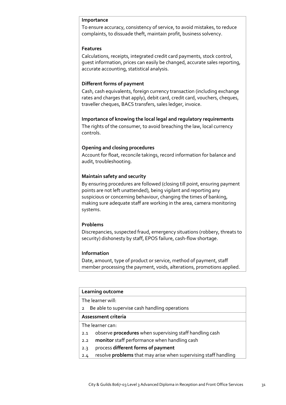### **Importance**

To ensure accuracy, consistency of service, to avoid mistakes, to reduce complaints, to dissuade theft, maintain profit, business solvency.

### **Features**

Calculations, receipts, integrated credit card payments, stock control, guest information, prices can easily be changed, accurate sales reporting, accurate accounting, statistical analysis.

### **Different forms of payment**

Cash, cash equivalents, foreign currency transaction (including exchange rates and charges that apply), debit card, credit card, vouchers, cheques, traveller cheques, BACS transfers, sales ledger, invoice.

**Importance of knowing the local legal and regulatory requirements**  The rights of the consumer, to avoid breaching the law, local currency controls.

### **Opening and closing procedures**

Account for float, reconcile takings, record information for balance and audit, troubleshooting.

### **Maintain safety and security**

By ensuring procedures are followed (closing till point, ensuring payment points are not left unattended), being vigilant and reporting any suspicious or concerning behaviour, changing the times of banking, making sure adequate staff are working in the area, camera monitoring systems.

### **Problems**

Discrepancies, suspected fraud, emergency situations (robbery, threats to security) dishonesty by staff, EPOS failure, cash-flow shortage.

### **Information**

Date, amount, type of product or service, method of payment, staff member processing the payment, voids, alterations, promotions applied.

### **Learning outcome**

The learner will:

2 Be able to supervise cash handling operations

### **Assessment criteria**

The learner can:

- 2.1 observe **procedures** when supervising staff handling cash
- 2.2 **monitor** staff performance when handling cash
- 2.3 process **different forms of payment**
- 2.4 resolve **problems** that may arise when supervising staff handling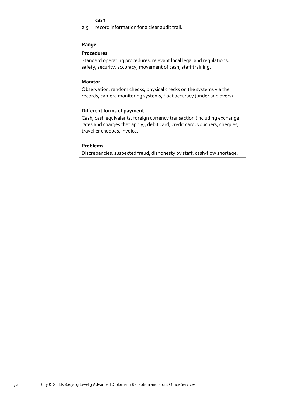### cash

2.5 record information for a clear audit trail.

### **Range**

### **Procedures**

Standard operating procedures, relevant local legal and regulations, safety, security, accuracy, movement of cash, staff training.

### **Monitor**

Observation, random checks, physical checks on the systems via the records, camera monitoring systems, float accuracy (under and overs).

### **Different forms of payment**

Cash, cash equivalents, foreign currency transaction (including exchange rates and charges that apply), debit card, credit card, vouchers, cheques, traveller cheques, invoice.

### **Problems**

Discrepancies, suspected fraud, dishonesty by staff, cash-flow shortage.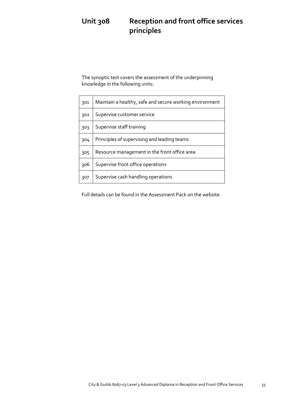# **Unit 308 Reception and front office services principles**

The synoptic test covers the assessment of the underpinning knowledge in the following units:

| 301 | Maintain a healthy, safe and secure working environment |
|-----|---------------------------------------------------------|
| 302 | Supervise customer service                              |
| 303 | Supervise staff training                                |
| 304 | Principles of supervising and leading teams             |
| 305 | Resource management in the front office area            |
| 306 | Supervise front office operations                       |
| 307 | Supervise cash handling operations                      |

Full details can be found in the Assessment Pack on the website.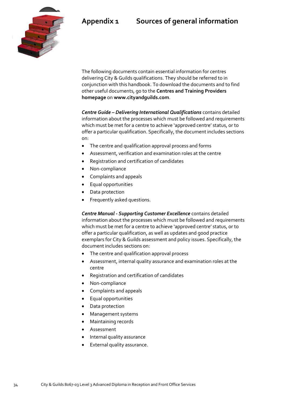# **Appendix 1 Sources of general information**



The following documents contain essential information for centres delivering City & Guilds qualifications. They should be referred to in conjunction with this handbook. To download the documents and to find other useful documents, go to the **Centres and Training Providers homepage** on **[www.cityandguilds.com](http://www.cityandguilds.com/)**.

*Centre Guide – Delivering International Qualifications* contains detailed information about the processes which must be followed and requirements which must be met for a centre to achieve 'approved centre' status, or to offer a particular qualification. Specifically, the document includes sections on:

- The centre and qualification approval process and forms
- Assessment, verification and examination roles at the centre
- Registration and certification of candidates
- Non-compliance
- Complaints and appeals
- Equal opportunities
- Data protection
- Frequently asked questions.

*Centre Manual - Supporting Customer Excellence* contains detailed information about the processes which must be followed and requirements which must be met for a centre to achieve 'approved centre' status, or to offer a particular qualification, as well as updates and good practice exemplars for City & Guilds assessment and policy issues. Specifically, the document includes sections on:

- The centre and qualification approval process
- Assessment, internal quality assurance and examination roles at the centre
- Registration and certification of candidates
- Non-compliance
- Complaints and appeals
- Equal opportunities
- Data protection
- Management systems
- Maintaining records
- Assessment
- Internal quality assurance
- External quality assurance.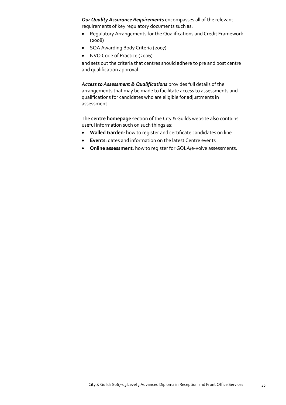*Our Quality Assurance Requirements* encompasses all of the relevant requirements of key regulatory documents such as:

- Regulatory Arrangements for the Qualifications and Credit Framework (2008)
- SQA Awarding Body Criteria (2007)
- NVQ Code of Practice (2006)

and sets out the criteria that centres should adhere to pre and post centre and qualification approval.

*Access to Assessment & Qualifications* provides full details of the arrangements that may be made to facilitate access to assessments and qualifications for candidates who are eligible for adjustments in assessment.

The **centre homepage** section of the City & Guilds website also contains useful information such on such things as:

- **Walled Garden**: how to register and certificate candidates on line
- **Events**: dates and information on the latest Centre events
- **Online assessment**: how to register for GOLA/e-volve assessments.